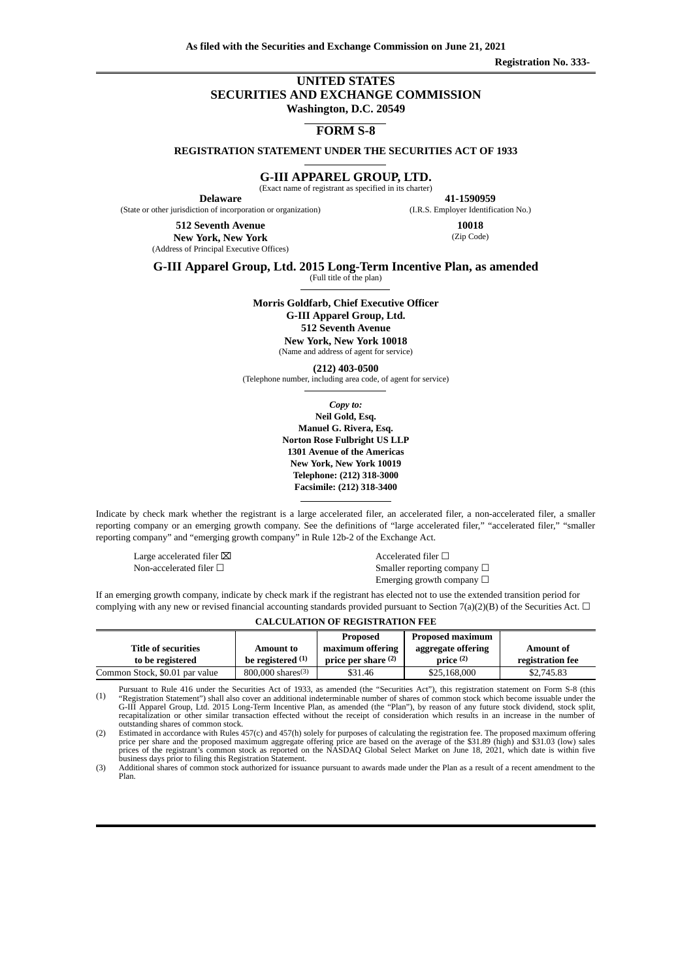**Registration No. 333-**

## **UNITED STATES SECURITIES AND EXCHANGE COMMISSION Washington, D.C. 20549**

**FORM S-8**

**REGISTRATION STATEMENT UNDER THE SECURITIES ACT OF 1933**

**G-III APPAREL GROUP, LTD.**

(Exact name of registrant as specified in its charter)

**Delaware** (State or other jurisdiction of incorporation or organization)

**41‑1590959** (I.R.S. Employer Identification No.)

**512 Seventh Avenue New York, New York** (Address of Principal Executive Offices)

**10018** (Zip Code)

**G-III Apparel Group, Ltd. 2015 Long-Term Incentive Plan, as amended**

(Full title of the plan)

**Morris Goldfarb, Chief Executive Officer G-III Apparel Group, Ltd.**

> **512 Seventh Avenue New York, New York 10018** (Name and address of agent for service)

**(212) 403-0500** (Telephone number, including area code, of agent for service)

> *Copy to:* **Neil Gold, Esq. Manuel G. Rivera, Esq. Norton Rose Fulbright US LLP 1301 Avenue of the Americas New York, New York 10019 Telephone: (212) 318-3000 Facsimile: (212) 318-3400**

Indicate by check mark whether the registrant is a large accelerated filer, an accelerated filer, a non-accelerated filer, a smaller reporting company or an emerging growth company. See the definitions of "large accelerated filer," "accelerated filer," "smaller reporting company" and "emerging growth company" in Rule 12b-2 of the Exchange Act.

Large accelerated filer  $\boxtimes$   $\blacksquare$ 

Non-accelerated filer □ <br>Smaller reporting company □ Emerging growth company  $\Box$ 

If an emerging growth company, indicate by check mark if the registrant has elected not to use the extended transition period for complying with any new or revised financial accounting standards provided pursuant to Section 7(a)(2)(B) of the Securities Act.  $\Box$ 

|                                |                                 | Proposed              | Proposed maximum     |                  |
|--------------------------------|---------------------------------|-----------------------|----------------------|------------------|
| <b>Title of securities</b>     | <b>Amount to</b>                | maximum offering      | aggregate offering   | <b>Amount of</b> |
| to be registered               | be registered $(1)$             | price per share $(2)$ | price <sup>(2)</sup> | registration fee |
| Common Stock, \$0.01 par value | $800,000$ shares <sup>(3)</sup> | \$31.46               | \$25,168,000         | \$2,745.83       |

(1) Pursuant to Rule 416 under the Securities Act of 1933, as amended (the "Securities Act"), this registration statement on Form S-8 (this "Registration Statement") shall also cover an additional indeterminable number of shar outstanding shares of common stock. (2) Estimated in accordance with Rules 457(c) and 457(h) solely for purposes of calculating the registration fee. The proposed maximum offering

price per share and the proposed maximum aggregate offering price are based on the average of the \$31.89 (high) and \$31.03 (low) sales<br>prices of the registrant's common stock as reported on the NASDAQ Global Select Market

(3) Additional shares of common stock authorized for issuance pursuant to awards made under the Plan as a result of a recent amendment to the Plan.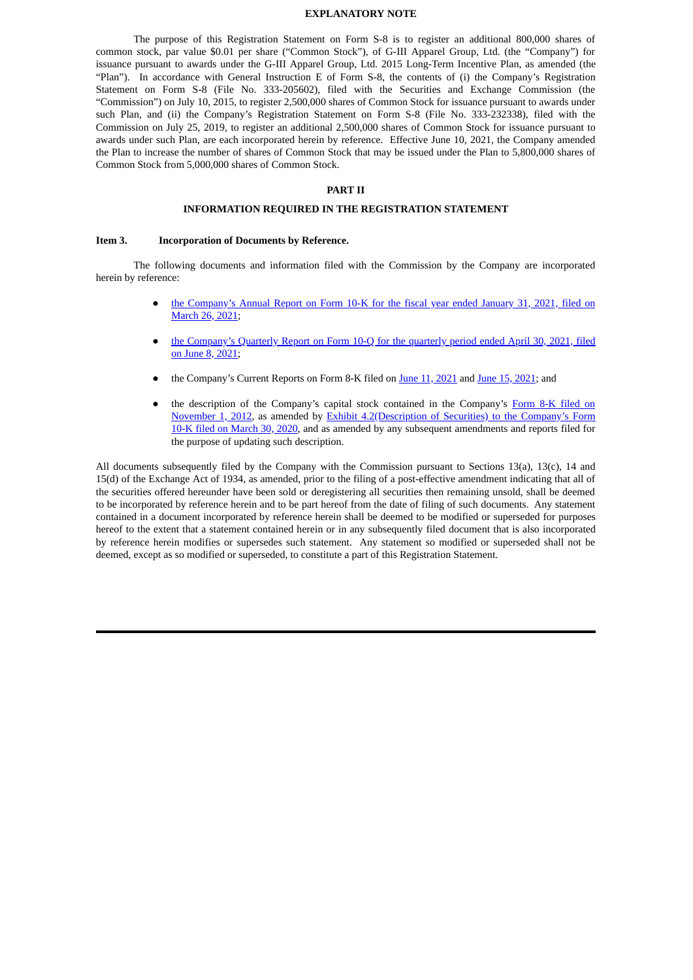#### **EXPLANATORY NOTE**

The purpose of this Registration Statement on Form S-8 is to register an additional 800,000 shares of common stock, par value \$0.01 per share ("Common Stock"), of G-III Apparel Group, Ltd. (the "Company") for issuance pursuant to awards under the G-III Apparel Group, Ltd. 2015 Long-Term Incentive Plan, as amended (the "Plan"). In accordance with General Instruction E of Form S-8, the contents of (i) the Company's Registration Statement on Form S-8 (File No. 333-205602), filed with the Securities and Exchange Commission (the "Commission") on July 10, 2015, to register 2,500,000 shares of Common Stock for issuance pursuant to awards under such Plan, and (ii) the Company's Registration Statement on Form S-8 (File No. 333-232338), filed with the Commission on July 25, 2019, to register an additional 2,500,000 shares of Common Stock for issuance pursuant to awards under such Plan, are each incorporated herein by reference. Effective June 10, 2021, the Company amended the Plan to increase the number of shares of Common Stock that may be issued under the Plan to 5,800,000 shares of Common Stock from 5,000,000 shares of Common Stock.

## **PART II**

## **INFORMATION REQUIRED IN THE REGISTRATION STATEMENT**

#### **Item 3. Incorporation of Documents by Reference.**

The following documents and information filed with the Commission by the Company are incorporated herein by reference:

- the [Company's](https://www.sec.gov/Archives/edgar/data/821002/000155837021003547/0001558370-21-003547-index.htm) Annual Report on Form 10-K for the fiscal year ended January 31, 2021, filed on March 26, 2021;
- the [Company's](https://www.sec.gov/Archives/edgar/data/821002/000155837021008130/0001558370-21-008130-index.htm) Quarterly Report on Form 10-Q for the quarterly period ended April 30, 2021, filed on June 8, 2021;
- the Company's Current Reports on Form 8-K filed on June 11, [2021](https://www.sec.gov/Archives/edgar/data/821002/000155837021008235/0001558370-21-008235-index.htm) and June 15, [2021;](https://www.sec.gov/Archives/edgar/data/821002/000155837021008312/0001558370-21-008312-index.htm) and
- the description of the Company's capital stock contained in the Company's Form 8-K filed on November 1, 2012, as amended by Exhibit [4.2\(Description](https://www.sec.gov/Archives/edgar/data/821002/000119312512446616/d432017dex991.htm) of Securities) to the Company's Form 10-K filed on March 30, 2020, and as amended by any subsequent amendments and reports filed for the purpose of updating such description.

All documents subsequently filed by the Company with the Commission pursuant to Sections 13(a), 13(c), 14 and 15(d) of the Exchange Act of 1934, as amended, prior to the filing of a post-effective amendment indicating that all of the securities offered hereunder have been sold or deregistering all securities then remaining unsold, shall be deemed to be incorporated by reference herein and to be part hereof from the date of filing of such documents. Any statement contained in a document incorporated by reference herein shall be deemed to be modified or superseded for purposes hereof to the extent that a statement contained herein or in any subsequently filed document that is also incorporated by reference herein modifies or supersedes such statement. Any statement so modified or superseded shall not be deemed, except as so modified or superseded, to constitute a part of this Registration Statement.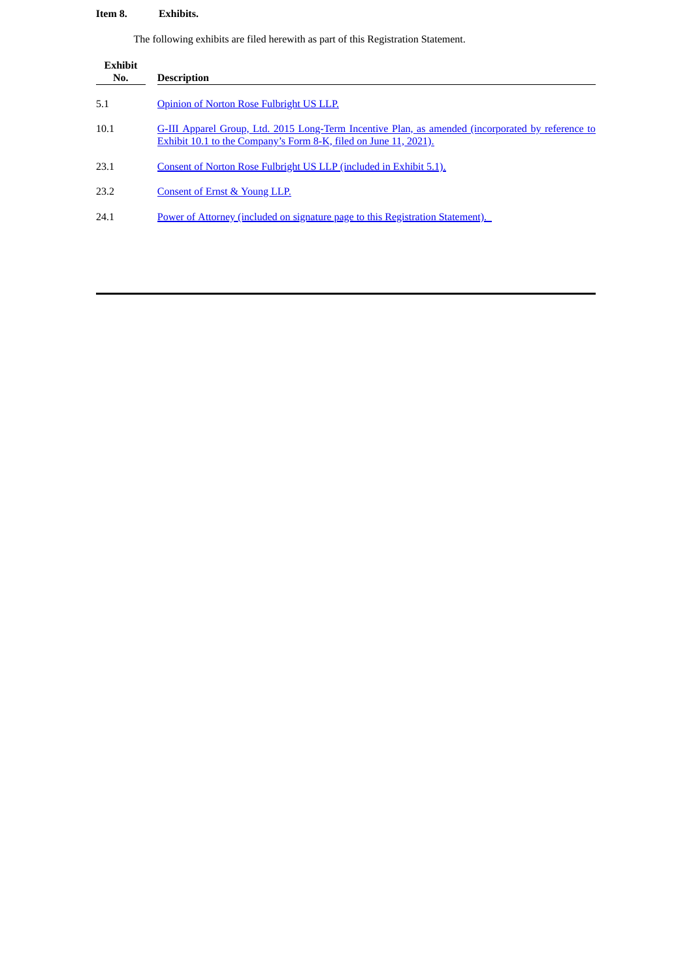# **Item 8. Exhibits.**

The following exhibits are filed herewith as part of this Registration Statement.

| <b>Exhibit</b><br>No. | <b>Description</b>                                                                                                                                                    |
|-----------------------|-----------------------------------------------------------------------------------------------------------------------------------------------------------------------|
| 5.1                   | Opinion of Norton Rose Fulbright US LLP.                                                                                                                              |
| 10.1                  | G-III Apparel Group, Ltd. 2015 Long-Term Incentive Plan, as amended (incorporated by reference to<br>Exhibit 10.1 to the Company's Form 8-K, filed on June 11, 2021). |
| 23.1                  | Consent of Norton Rose Fulbright US LLP (included in Exhibit 5.1).                                                                                                    |
| 23.2                  | Consent of Ernst & Young LLP.                                                                                                                                         |
| 24.1                  | Power of Attorney (included on signature page to this Registration Statement).                                                                                        |
|                       |                                                                                                                                                                       |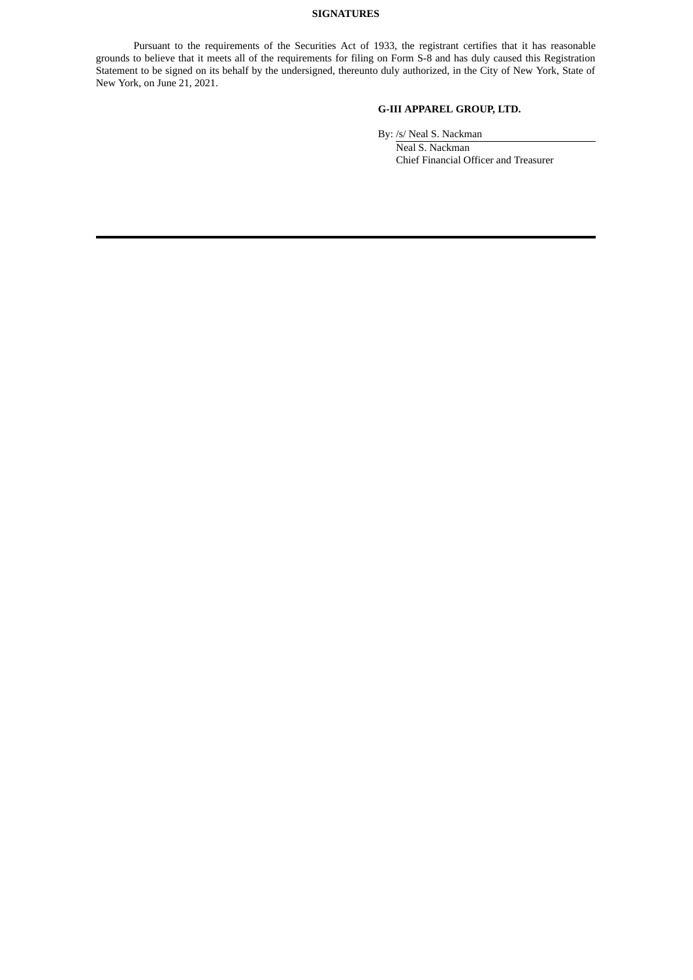## **SIGNATURES**

Pursuant to the requirements of the Securities Act of 1933, the registrant certifies that it has reasonable grounds to believe that it meets all of the requirements for filing on Form S-8 and has duly caused this Registration Statement to be signed on its behalf by the undersigned, thereunto duly authorized, in the City of New York, State of New York, on June 21, 2021.

## **G-III APPAREL GROUP, LTD.**

By: /s/ Neal S. Nackman

<span id="page-3-0"></span>Neal S. Nackman Chief Financial Officer and Treasurer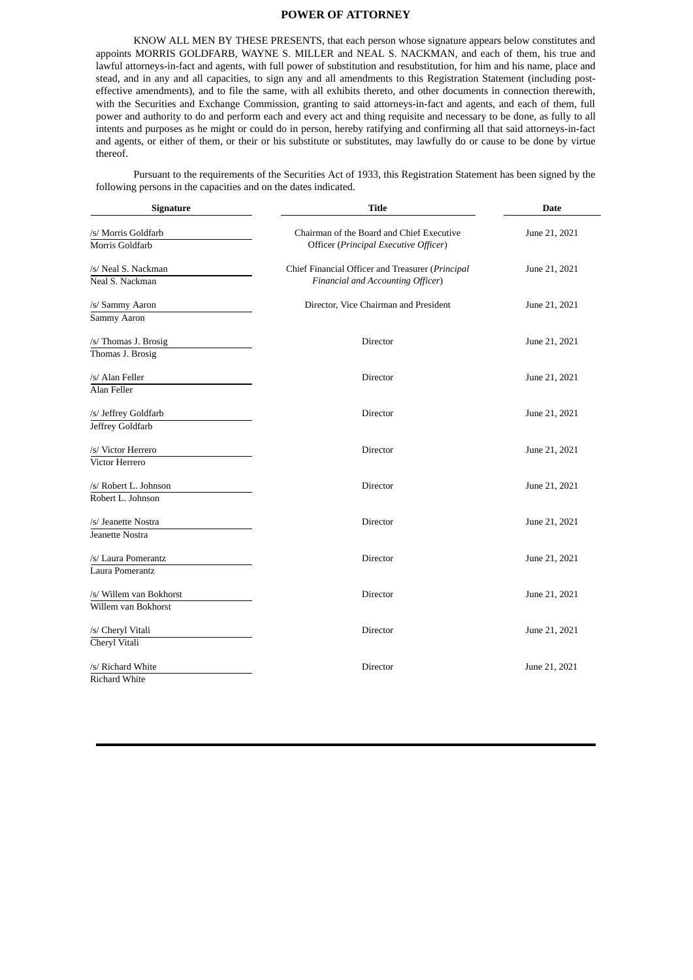## **POWER OF ATTORNEY**

KNOW ALL MEN BY THESE PRESENTS, that each person whose signature appears below constitutes and appoints MORRIS GOLDFARB, WAYNE S. MILLER and NEAL S. NACKMAN, and each of them, his true and lawful attorneys-in-fact and agents, with full power of substitution and resubstitution, for him and his name, place and stead, and in any and all capacities, to sign any and all amendments to this Registration Statement (including posteffective amendments), and to file the same, with all exhibits thereto, and other documents in connection therewith, with the Securities and Exchange Commission, granting to said attorneys-in-fact and agents, and each of them, full power and authority to do and perform each and every act and thing requisite and necessary to be done, as fully to all intents and purposes as he might or could do in person, hereby ratifying and confirming all that said attorneys-in-fact and agents, or either of them, or their or his substitute or substitutes, may lawfully do or cause to be done by virtue thereof.

Pursuant to the requirements of the Securities Act of 1933, this Registration Statement has been signed by the following persons in the capacities and on the dates indicated.

| <b>Signature</b>                                          | <b>Title</b>                                                                          | <b>Date</b>   |
|-----------------------------------------------------------|---------------------------------------------------------------------------------------|---------------|
| /s/ Morris Goldfarb<br>Morris Goldfarb                    | Chairman of the Board and Chief Executive<br>Officer (Principal Executive Officer)    | June 21, 2021 |
| /s/ Neal S. Nackman<br>Neal S. Nackman                    | Chief Financial Officer and Treasurer (Principal<br>Financial and Accounting Officer) | June 21, 2021 |
| /s/ Sammy Aaron<br>Sammy Aaron                            | Director, Vice Chairman and President                                                 | June 21, 2021 |
| /s/ Thomas J. Brosig<br>Thomas J. Brosig                  | Director                                                                              | June 21, 2021 |
| /s/ Alan Feller<br>Alan Feller                            | Director                                                                              | June 21, 2021 |
| /s/ Jeffrey Goldfarb<br>Jeffrey Goldfarb                  | Director                                                                              | June 21, 2021 |
| /s/ Victor Herrero<br>Victor Herrero                      | Director                                                                              | June 21, 2021 |
| /s/ Robert L. Johnson                                     | Director                                                                              | June 21, 2021 |
| Robert L. Johnson<br>/s/ Jeanette Nostra                  | Director                                                                              | June 21, 2021 |
| Jeanette Nostra<br>/s/ Laura Pomerantz<br>Laura Pomerantz | Director                                                                              | June 21, 2021 |
| /s/ Willem van Bokhorst<br>Willem van Bokhorst            | Director                                                                              | June 21, 2021 |
| /s/ Cheryl Vitali<br>Cheryl Vitali                        | Director                                                                              | June 21, 2021 |
| /s/ Richard White<br><b>Richard White</b>                 | Director                                                                              | June 21, 2021 |
|                                                           |                                                                                       |               |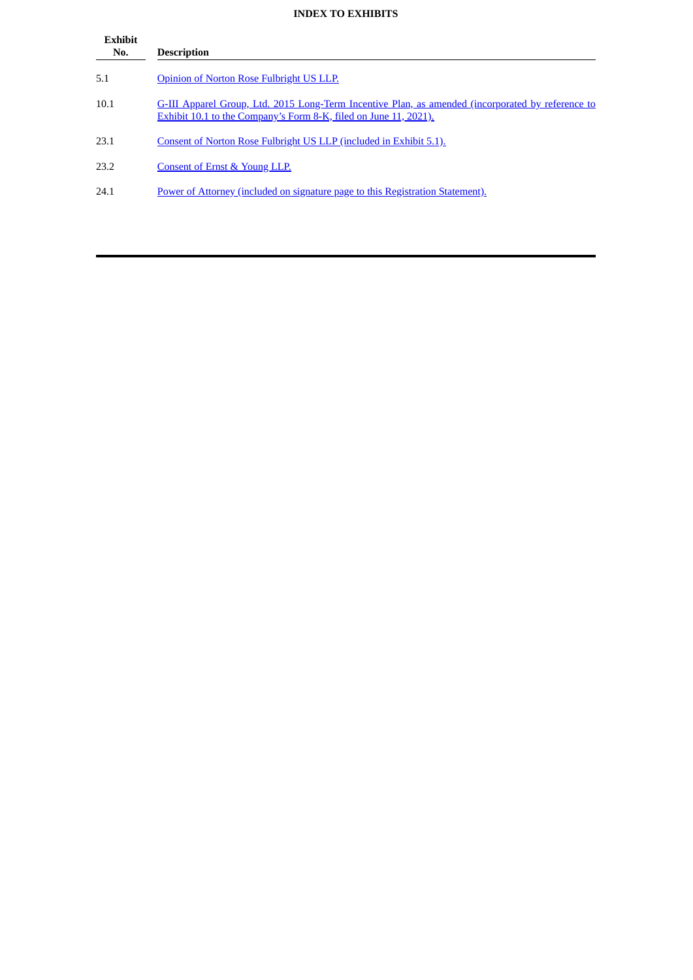# **INDEX TO EXHIBITS**

| <b>Exhibit</b><br>No. | <b>Description</b>                                                                                                                                                    |
|-----------------------|-----------------------------------------------------------------------------------------------------------------------------------------------------------------------|
| 5.1                   | Opinion of Norton Rose Fulbright US LLP.                                                                                                                              |
| 10.1                  | G-III Apparel Group, Ltd. 2015 Long-Term Incentive Plan, as amended (incorporated by reference to<br>Exhibit 10.1 to the Company's Form 8-K, filed on June 11, 2021). |
| 23.1                  | Consent of Norton Rose Fulbright US LLP (included in Exhibit 5.1).                                                                                                    |
| 23.2                  | Consent of Ernst & Young LLP.                                                                                                                                         |
| 24.1                  | Power of Attorney (included on signature page to this Registration Statement).                                                                                        |
|                       |                                                                                                                                                                       |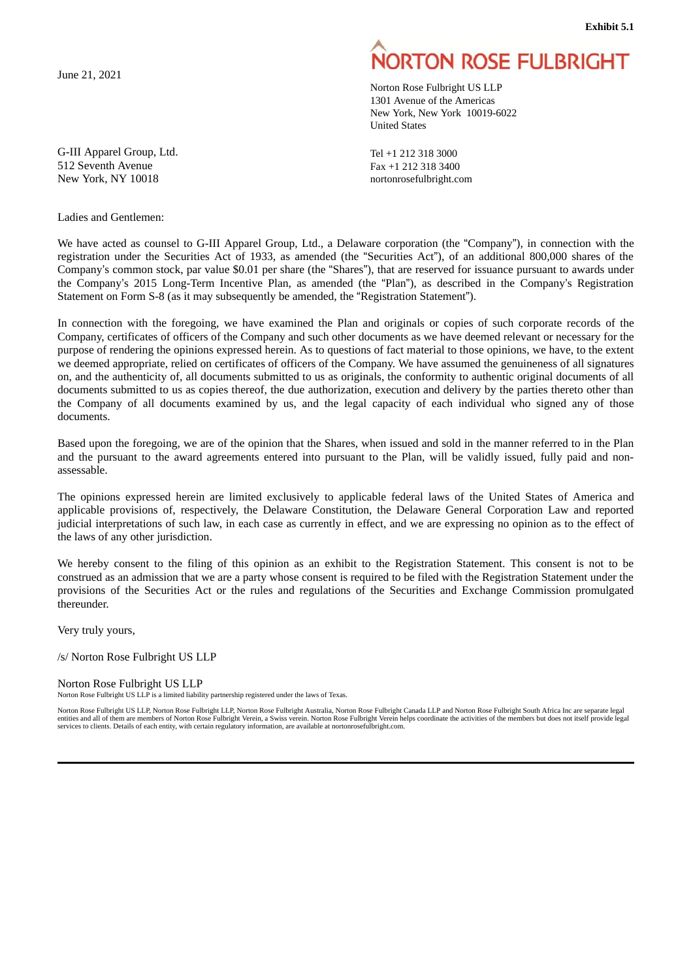**Exhibit 5.1**

<span id="page-6-0"></span>June 21, 2021

G-III Apparel Group, Ltd. 512 Seventh Avenue New York, NY 10018

## Ladies and Gentlemen:

# **NORTON ROSE FULBRIGHT**

Norton Rose Fulbright US LLP 1301 Avenue of the Americas New York, New York 10019-6022 United States

Tel +1 212 318 3000 Fax +1 212 318 3400 nortonrosefulbright.com

We have acted as counsel to G-III Apparel Group, Ltd., a Delaware corporation (the "Company"), in connection with the registration under the Securities Act of 1933, as amended (the "Securities Act"), of an additional 800,000 shares of the Company's common stock, par value \$0.01 per share (the "Shares"), that are reserved for issuance pursuant to awards under the Company's 2015 Long-Term Incentive Plan, as amended (the "Plan"), as described in the Company's Registration Statement on Form S-8 (as it may subsequently be amended, the "Registration Statement").

In connection with the foregoing, we have examined the Plan and originals or copies of such corporate records of the Company, certificates of officers of the Company and such other documents as we have deemed relevant or necessary for the purpose of rendering the opinions expressed herein. As to questions of fact material to those opinions, we have, to the extent we deemed appropriate, relied on certificates of officers of the Company. We have assumed the genuineness of all signatures on, and the authenticity of, all documents submitted to us as originals, the conformity to authentic original documents of all documents submitted to us as copies thereof, the due authorization, execution and delivery by the parties thereto other than the Company of all documents examined by us, and the legal capacity of each individual who signed any of those documents.

Based upon the foregoing, we are of the opinion that the Shares, when issued and sold in the manner referred to in the Plan and the pursuant to the award agreements entered into pursuant to the Plan, will be validly issued, fully paid and nonassessable.

The opinions expressed herein are limited exclusively to applicable federal laws of the United States of America and applicable provisions of, respectively, the Delaware Constitution, the Delaware General Corporation Law and reported judicial interpretations of such law, in each case as currently in effect, and we are expressing no opinion as to the effect of the laws of any other jurisdiction.

We hereby consent to the filing of this opinion as an exhibit to the Registration Statement. This consent is not to be construed as an admission that we are a party whose consent is required to be filed with the Registration Statement under the provisions of the Securities Act or the rules and regulations of the Securities and Exchange Commission promulgated thereunder.

Very truly yours,

/s/ Norton Rose Fulbright US LLP

Norton Rose Fulbright US LLP

Norton Rose Fulbright US LLP is a limited liability partnership registered under the laws of Texas.

Norton Rose Fulbright US LLP, Norton Rose Fulbright LLP, Norton Rose Fulbright Australia, Norton Rose Fulbright Canada LLP and Norton Rose Fulbright South Africa Inc are separate legal entities and all of them are members of Norton Rose Fulbright Verein, a Swiss verein. Norton Rose Fulbright Verein helps coordinate the activities of the members but does not itself provide legal services to clients. Details of each entity, with certain regulatory information, are available at nortonrosefulbright.com.